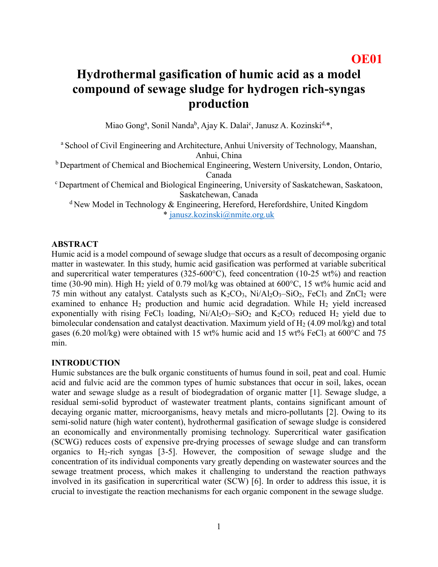# **Hydrothermal gasification of humic acid as a model compound of sewage sludge for hydrogen rich-syngas production**

Miao Gong<sup>a</sup>, Sonil Nanda<sup>b</sup>, Ajay K. Dalai<sup>c</sup>, Janusz A. Kozinski<sup>d,\*</sup>,

<sup>a</sup> School of Civil Engineering and Architecture, Anhui University of Technology, Maanshan, Anhui, China

<sup>b</sup> Department of Chemical and Biochemical Engineering, Western University, London, Ontario, Canada

<sup>c</sup>Department of Chemical and Biological Engineering, University of Saskatchewan, Saskatoon, Saskatchewan, Canada

 $d$ New Model in Technology & Engineering, Hereford, Herefordshire, United Kingdom \* [janusz.kozinski@nmite.org.uk](mailto:janusz.kozinski@nmite.org.uk)

### **ABSTRACT**

Humic acid is a model compound of sewage sludge that occurs as a result of decomposing organic matter in wastewater. In this study, humic acid gasification was performed at variable subcritical and supercritical water temperatures (325-600°C), feed concentration (10-25 wt%) and reaction time (30-90 min). High H<sub>2</sub> yield of 0.79 mol/kg was obtained at  $600^{\circ}$ C, 15 wt% humic acid and 75 min without any catalyst. Catalysts such as  $K_2CO_3$ ,  $Ni/Al_2O_3-SiO_2$ ,  $FeCl_3$  and  $ZnCl_2$  were examined to enhance  $H_2$  production and humic acid degradation. While  $H_2$  yield increased exponentially with rising FeCl<sub>3</sub> loading,  $Ni/Al<sub>2</sub>O<sub>3</sub> – SiO<sub>2</sub>$  and  $K<sub>2</sub>CO<sub>3</sub>$  reduced H<sub>2</sub> yield due to bimolecular condensation and catalyst deactivation. Maximum yield of  $H_2$  (4.09 mol/kg) and total gases (6.20 mol/kg) were obtained with 15 wt% humic acid and 15 wt% FeCl<sub>3</sub> at  $600^{\circ}$ C and 75 min.

#### **INTRODUCTION**

Humic substances are the bulk organic constituents of humus found in soil, peat and coal. Humic acid and fulvic acid are the common types of humic substances that occur in soil, lakes, ocean water and sewage sludge as a result of biodegradation of organic matter [1]. Sewage sludge, a residual semi-solid byproduct of wastewater treatment plants, contains significant amount of decaying organic matter, microorganisms, heavy metals and micro-pollutants [2]. Owing to its semi-solid nature (high water content), hydrothermal gasification of sewage sludge is considered an economically and environmentally promising technology. Supercritical water gasification (SCWG) reduces costs of expensive pre-drying processes of sewage sludge and can transform organics to  $H_2$ -rich syngas [3-5]. However, the composition of sewage sludge and the concentration of its individual components vary greatly depending on wastewater sources and the sewage treatment process, which makes it challenging to understand the reaction pathways involved in its gasification in supercritical water (SCW) [6]. In order to address this issue, it is crucial to investigate the reaction mechanisms for each organic component in the sewage sludge.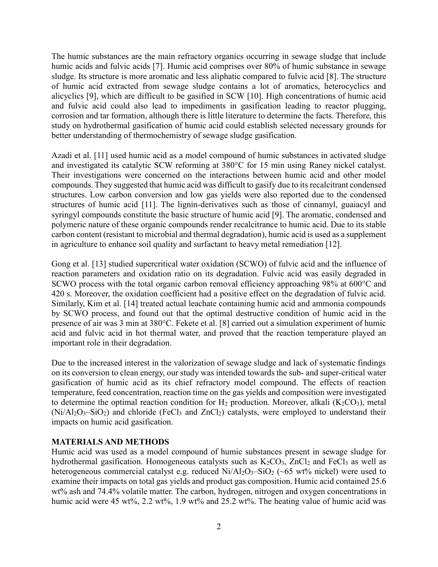The humic substances are the main refractory organics occurring in sewage sludge that include humic acids and fulvic acids [7]. Humic acid comprises over 80% of humic substance in sewage sludge. Its structure is more aromatic and less aliphatic compared to fulvic acid [8]. The structure of humic acid extracted from sewage sludge contains a lot of aromatics, heterocyclics and alicyclics [9], which are difficult to be gasified in SCW [10]. High concentrations of humic acid and fulvic acid could also lead to impediments in gasification leading to reactor plugging, corrosion and tar formation, although there is little literature to determine the facts. Therefore, this study on hydrothermal gasification of humic acid could establish selected necessary grounds for better understanding of thermochemistry of sewage sludge gasification.

Azadi et al. [11] used humic acid as a model compound of humic substances in activated sludge and investigated its catalytic SCW reforming at 380°C for 15 min using Raney nickel catalyst. Their investigations were concerned on the interactions between humic acid and other model compounds. They suggested that humic acid was difficult to gasify due to its recalcitrant condensed structures. Low carbon conversion and low gas yields were also reported due to the condensed structures of humic acid [11]. The lignin-derivatives such as those of cinnamyl, guaiacyl and syringyl compounds constitute the basic structure of humic acid [9]. The aromatic, condensed and polymeric nature of these organic compounds render recalcitrance to humic acid. Due to its stable carbon content (resistant to microbial and thermal degradation), humic acid is used as a supplement in agriculture to enhance soil quality and surfactant to heavy metal remediation [12].

Gong et al. [13] studied supercritical water oxidation (SCWO) of fulvic acid and the influence of reaction parameters and oxidation ratio on its degradation. Fulvic acid was easily degraded in SCWO process with the total organic carbon removal efficiency approaching 98% at 600°C and 420 s. Moreover, the oxidation coefficient had a positive effect on the degradation of fulvic acid. Similarly, Kim et al. [14] treated actual leachate containing humic acid and ammonia compounds by SCWO process, and found out that the optimal destructive condition of humic acid in the presence of air was 3 min at 380°C. Fekete et al. [8] carried out a simulation experiment of humic acid and fulvic acid in hot thermal water, and proved that the reaction temperature played an important role in their degradation.

Due to the increased interest in the valorization of sewage sludge and lack of systematic findings on its conversion to clean energy, our study was intended towards the sub- and super-critical water gasification of humic acid as its chief refractory model compound. The effects of reaction temperature, feed concentration, reaction time on the gas yields and composition were investigated to determine the optimal reaction condition for  $H_2$  production. Moreover, alkali (K<sub>2</sub>CO<sub>3</sub>), metal  $(Ni/Al_2O_3-SiO_2)$  and chloride (FeCl<sub>3</sub> and ZnCl<sub>2</sub>) catalysts, were employed to understand their impacts on humic acid gasification.

# **MATERIALS AND METHODS**

Humic acid was used as a model compound of humic substances present in sewage sludge for hydrothermal gasification. Homogeneous catalysts such as  $K_2CO_3$ , ZnCl<sub>2</sub> and FeCl<sub>3</sub> as well as heterogeneous commercial catalyst e.g. reduced  $Ni/Al<sub>2</sub>O<sub>3</sub>–SiO<sub>2</sub> (~65 wt%)$  nickel) were used to examine their impacts on total gas yields and product gas composition. Humic acid contained 25.6 wt% ash and 74.4% volatile matter. The carbon, hydrogen, nitrogen and oxygen concentrations in humic acid were 45 wt%, 2.2 wt%, 1.9 wt% and 25.2 wt%. The heating value of humic acid was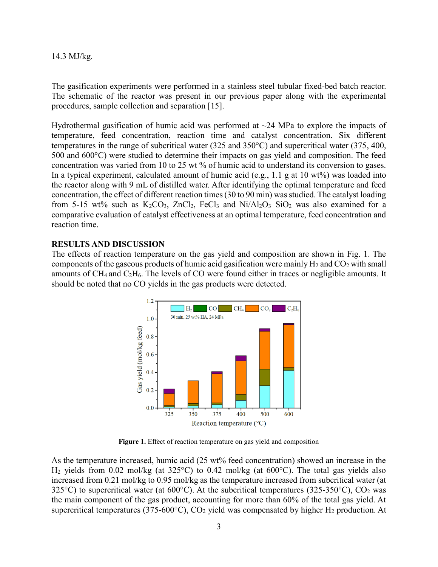#### 14.3 MJ/kg.

The gasification experiments were performed in a stainless steel tubular fixed-bed batch reactor. The schematic of the reactor was present in our previous paper along with the experimental procedures, sample collection and separation [15].

Hydrothermal gasification of humic acid was performed at  $\sim$ 24 MPa to explore the impacts of temperature, feed concentration, reaction time and catalyst concentration. Six different temperatures in the range of subcritical water (325 and 350°C) and supercritical water (375, 400, 500 and 600°C) were studied to determine their impacts on gas yield and composition. The feed concentration was varied from 10 to 25 wt % of humic acid to understand its conversion to gases. In a typical experiment, calculated amount of humic acid (e.g., 1.1 g at 10 wt%) was loaded into the reactor along with 9 mL of distilled water. After identifying the optimal temperature and feed concentration, the effect of different reaction times (30 to 90 min) was studied. The catalyst loading from 5-15 wt% such as  $K_2CO_3$ ,  $ZnCl_2$ ,  $FeCl_3$  and  $Ni/Al_2O_3-SiO_2$  was also examined for a comparative evaluation of catalyst effectiveness at an optimal temperature, feed concentration and reaction time.

# **RESULTS AND DISCUSSION**

The effects of reaction temperature on the gas yield and composition are shown in Fig. 1. The components of the gaseous products of humic acid gasification were mainly  $H_2$  and  $CO_2$  with small amounts of CH4 and C2H6. The levels of CO were found either in traces or negligible amounts. It should be noted that no CO yields in the gas products were detected.



**Figure 1.** Effect of reaction temperature on gas yield and composition

As the temperature increased, humic acid (25 wt% feed concentration) showed an increase in the H<sub>2</sub> yields from 0.02 mol/kg (at 325 °C) to 0.42 mol/kg (at 600 °C). The total gas yields also increased from 0.21 mol/kg to 0.95 mol/kg as the temperature increased from subcritical water (at 325 $^{\circ}$ C) to supercritical water (at 600 $^{\circ}$ C). At the subcritical temperatures (325-350 $^{\circ}$ C), CO<sub>2</sub> was the main component of the gas product, accounting for more than 60% of the total gas yield. At supercritical temperatures (375-600 $^{\circ}$ C), CO<sub>2</sub> yield was compensated by higher H<sub>2</sub> production. At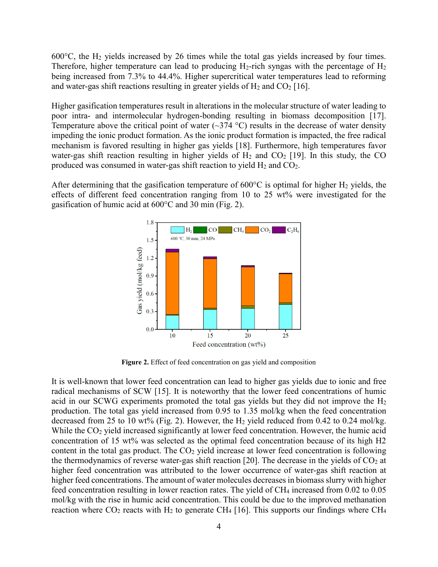600°C, the H<sup>2</sup> yields increased by 26 times while the total gas yields increased by four times. Therefore, higher temperature can lead to producing  $H_2$ -rich syngas with the percentage of  $H_2$ being increased from 7.3% to 44.4%. Higher supercritical water temperatures lead to reforming and water-gas shift reactions resulting in greater yields of  $H_2$  and  $CO_2$  [16].

Higher gasification temperatures result in alterations in the molecular structure of water leading to poor intra- and intermolecular hydrogen-bonding resulting in biomass decomposition [17]. Temperature above the critical point of water  $(\sim]374 \text{ °C})$  results in the decrease of water density impeding the ionic product formation. As the ionic product formation is impacted, the free radical mechanism is favored resulting in higher gas yields [18]. Furthermore, high temperatures favor water-gas shift reaction resulting in higher yields of  $H_2$  and  $CO_2$  [19]. In this study, the CO produced was consumed in water-gas shift reaction to yield  $H_2$  and  $CO_2$ .

After determining that the gasification temperature of  $600^{\circ}$ C is optimal for higher H<sub>2</sub> yields, the effects of different feed concentration ranging from 10 to 25 wt% were investigated for the gasification of humic acid at 600°C and 30 min (Fig. 2).



**Figure 2.** Effect of feed concentration on gas yield and composition

It is well-known that lower feed concentration can lead to higher gas yields due to ionic and free radical mechanisms of SCW [15]. It is noteworthy that the lower feed concentrations of humic acid in our SCWG experiments promoted the total gas yields but they did not improve the H<sup>2</sup> production. The total gas yield increased from 0.95 to 1.35 mol/kg when the feed concentration decreased from 25 to 10 wt% (Fig. 2). However, the  $H_2$  yield reduced from 0.42 to 0.24 mol/kg. While the CO<sub>2</sub> yield increased significantly at lower feed concentration. However, the humic acid concentration of 15 wt% was selected as the optimal feed concentration because of its high H2 content in the total gas product. The  $CO<sub>2</sub>$  yield increase at lower feed concentration is following the thermodynamics of reverse water-gas shift reaction [20]. The decrease in the yields of  $CO<sub>2</sub>$  at higher feed concentration was attributed to the lower occurrence of water-gas shift reaction at higher feed concentrations. The amount of water molecules decreases in biomass slurry with higher feed concentration resulting in lower reaction rates. The yield of CH<sup>4</sup> increased from 0.02 to 0.05 mol/kg with the rise in humic acid concentration. This could be due to the improved methanation reaction where  $CO_2$  reacts with  $H_2$  to generate CH<sub>4</sub> [16]. This supports our findings where CH<sub>4</sub>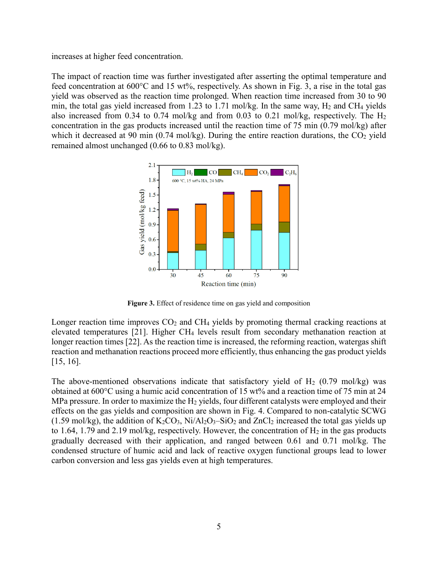increases at higher feed concentration.

The impact of reaction time was further investigated after asserting the optimal temperature and feed concentration at 600°C and 15 wt%, respectively. As shown in Fig. 3, a rise in the total gas yield was observed as the reaction time prolonged. When reaction time increased from 30 to 90 min, the total gas yield increased from 1.23 to 1.71 mol/kg. In the same way, H<sub>2</sub> and CH<sub>4</sub> yields also increased from 0.34 to 0.74 mol/kg and from 0.03 to 0.21 mol/kg, respectively. The  $H_2$ concentration in the gas products increased until the reaction time of 75 min (0.79 mol/kg) after which it decreased at 90 min  $(0.74 \text{ mol/kg})$ . During the entire reaction durations, the CO<sub>2</sub> yield remained almost unchanged (0.66 to 0.83 mol/kg).



**Figure 3.** Effect of residence time on gas yield and composition

Longer reaction time improves  $CO<sub>2</sub>$  and CH<sub>4</sub> yields by promoting thermal cracking reactions at elevated temperatures [21]. Higher CH<sup>4</sup> levels result from secondary methanation reaction at longer reaction times [22]. As the reaction time is increased, the reforming reaction, watergas shift reaction and methanation reactions proceed more efficiently, thus enhancing the gas product yields [15, 16].

The above-mentioned observations indicate that satisfactory yield of  $H_2$  (0.79 mol/kg) was obtained at 600°C using a humic acid concentration of 15 wt% and a reaction time of 75 min at 24 MPa pressure. In order to maximize the  $H_2$  yields, four different catalysts were employed and their effects on the gas yields and composition are shown in Fig. 4. Compared to non-catalytic SCWG (1.59 mol/kg), the addition of  $K_2CO_3$ ,  $Ni/Al_2O_3-SiO_2$  and  $ZnCl_2$  increased the total gas yields up to 1.64, 1.79 and 2.19 mol/kg, respectively. However, the concentration of  $H_2$  in the gas products gradually decreased with their application, and ranged between 0.61 and 0.71 mol/kg. The condensed structure of humic acid and lack of reactive oxygen functional groups lead to lower carbon conversion and less gas yields even at high temperatures.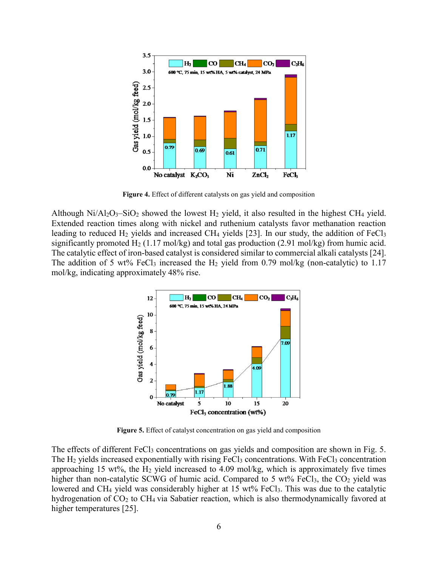

**Figure 4.** Effect of different catalysts on gas yield and composition

Although  $Ni/Al_2O_3-SiO_2$  showed the lowest H<sub>2</sub> yield, it also resulted in the highest CH<sub>4</sub> yield. Extended reaction times along with nickel and ruthenium catalysts favor methanation reaction leading to reduced H<sub>2</sub> yields and increased CH<sub>4</sub> yields [23]. In our study, the addition of FeCl<sub>3</sub> significantly promoted  $H_2$  (1.17 mol/kg) and total gas production (2.91 mol/kg) from humic acid. The catalytic effect of iron-based catalyst is considered similar to commercial alkali catalysts [24]. The addition of 5 wt% FeCl<sub>3</sub> increased the H<sub>2</sub> yield from 0.79 mol/kg (non-catalytic) to 1.17 mol/kg, indicating approximately 48% rise.



**Figure 5.** Effect of catalyst concentration on gas yield and composition

The effects of different  $FeCl<sub>3</sub>$  concentrations on gas yields and composition are shown in Fig. 5. The H<sub>2</sub> yields increased exponentially with rising FeCl<sub>3</sub> concentrations. With FeCl<sub>3</sub> concentration approaching 15 wt%, the  $H_2$  yield increased to 4.09 mol/kg, which is approximately five times higher than non-catalytic SCWG of humic acid. Compared to 5 wt% FeCl<sub>3</sub>, the CO<sub>2</sub> yield was lowered and CH<sub>4</sub> yield was considerably higher at 15 wt% FeCl<sub>3</sub>. This was due to the catalytic hydrogenation of CO<sub>2</sub> to CH<sub>4</sub> via Sabatier reaction, which is also thermodynamically favored at higher temperatures [25].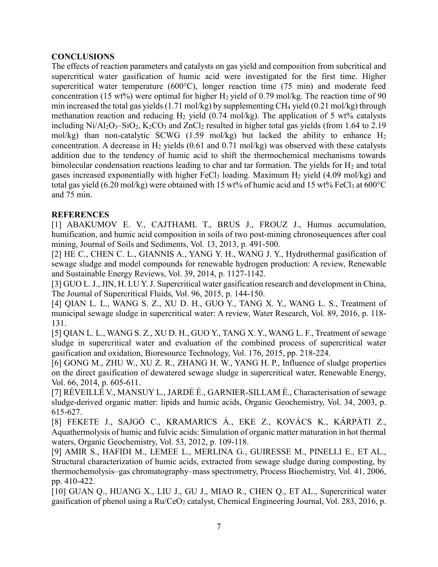# **CONCLUSIONS**

The effects of reaction parameters and catalysts on gas yield and composition from subcritical and supercritical water gasification of humic acid were investigated for the first time. Higher supercritical water temperature (600°C), longer reaction time (75 min) and moderate feed concentration (15 wt%) were optimal for higher  $H_2$  yield of 0.79 mol/kg. The reaction time of 90 min increased the total gas yields (1.71 mol/kg) by supplementing CH<sup>4</sup> yield (0.21 mol/kg) through methanation reaction and reducing  $H_2$  yield (0.74 mol/kg). The application of 5 wt% catalysts including  $Ni/Al_2O_3-SiO_2$ ,  $K_2CO_3$  and  $ZnCl_2$  resulted in higher total gas yields (from 1.64 to 2.19 mol/kg) than non-catalytic SCWG (1.59 mol/kg) but lacked the ability to enhance  $H_2$ concentration. A decrease in  $H_2$  yields (0.61 and 0.71 mol/kg) was observed with these catalysts addition due to the tendency of humic acid to shift the thermochemical mechanisms towards bimolecular condensation reactions leading to char and tar formation. The yields for  $H_2$  and total gases increased exponentially with higher FeCl<sub>3</sub> loading. Maximum  $H_2$  yield (4.09 mol/kg) and total gas yield (6.20 mol/kg) were obtained with 15 wt% of humic acid and 15 wt% FeCl<sub>3</sub> at 600 °C and 75 min.

# **REFERENCES**

[1] ABAKUMOV E. V., CAJTHAML T., BRUS J., FROUZ J., Humus accumulation, humification, and humic acid composition in soils of two post-mining chronosequences after coal mining, Journal of Soils and Sediments, Vol. 13, 2013, p. 491-500.

[2] HE C., CHEN C. L., GIANNIS A., YANG Y. H., WANG J. Y., Hydrothermal gasification of sewage sludge and model compounds for renewable hydrogen production: A review, Renewable and Sustainable Energy Reviews, Vol. 39, 2014, p. 1127-1142.

[3] GUO L. J., JIN, H. LU Y. J. Supercritical water gasification research and development in China, The Journal of Supercritical Fluids, Vol. 96, 2015, p. 144-150.

[4] QIAN L. L., WANG S. Z., XU D. H., GUO Y., TANG X. Y., WANG L. S., Treatment of municipal sewage sludge in supercritical water: A review, Water Research, Vol. 89, 2016, p. 118- 131.

[5] QIAN L. L., WANG S. Z., XU D. H., GUO Y., TANG X. Y., WANG L. F., Treatment of sewage sludge in supercritical water and evaluation of the combined process of supercritical water gasification and oxidation, Bioresource Technology, Vol. 176, 2015, pp. 218-224.

[6] GONG M., ZHU W., XU Z. R., ZHANG H. W., YANG H. P., Influence of sludge properties on the direct gasification of dewatered sewage sludge in supercritical water, Renewable Energy, Vol. 66, 2014, p. 605-611.

[7] RÉVEILLÉ V., MANSUY L., JARDÉ É., GARNIER-SILLAM É., Characterisation of sewage sludge-derived organic matter: lipids and humic acids, Organic Geochemistry, Vol. 34, 2003, p. 615-627.

[8] FEKETE J., SAJGÓ C., KRAMARICS Á., EKE Z., KOVÁCS K., KÁRPÁTI Z., Aquathermolysis of humic and fulvic acids: Simulation of organic matter maturation in hot thermal waters, Organic Geochemistry, Vol. 53, 2012, p. 109-118.

[9] AMIR S., HAFIDI M., LEMEE L., MERLINA G., GUIRESSE M., PINELLI E., ET AL., Structural characterization of humic acids, extracted from sewage sludge during composting, by thermochemolysis–gas chromatography–mass spectrometry, Process Biochemistry, Vol. 41, 2006, pp. 410-422.

[10] GUAN Q., HUANG X., LIU J., GU J., MIAO R., CHEN Q., ET AL., Supercritical water gasification of phenol using a  $Ru/CeO<sub>2</sub>$  catalyst, Chemical Engineering Journal, Vol. 283, 2016, p.